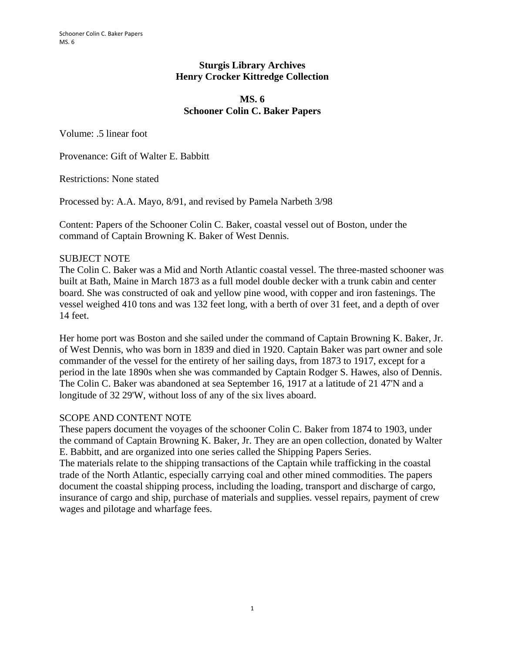### **Sturgis Library Archives Henry Crocker Kittredge Collection**

#### **MS. 6 Schooner Colin C. Baker Papers**

Volume: .5 linear foot

Provenance: Gift of Walter E. Babbitt

Restrictions: None stated

Processed by: A.A. Mayo, 8/91, and revised by Pamela Narbeth 3/98

Content: Papers of the Schooner Colin C. Baker, coastal vessel out of Boston, under the command of Captain Browning K. Baker of West Dennis.

### SUBJECT NOTE

The Colin C. Baker was a Mid and North Atlantic coastal vessel. The three-masted schooner was built at Bath, Maine in March 1873 as a full model double decker with a trunk cabin and center board. She was constructed of oak and yellow pine wood, with copper and iron fastenings. The vessel weighed 410 tons and was 132 feet long, with a berth of over 31 feet, and a depth of over 14 feet.

Her home port was Boston and she sailed under the command of Captain Browning K. Baker, Jr. of West Dennis, who was born in 1839 and died in 1920. Captain Baker was part owner and sole commander of the vessel for the entirety of her sailing days, from 1873 to 1917, except for a period in the late 1890s when she was commanded by Captain Rodger S. Hawes, also of Dennis. The Colin C. Baker was abandoned at sea September 16, 1917 at a latitude of 21 47'N and a longitude of 32 29'W, without loss of any of the six lives aboard.

# SCOPE AND CONTENT NOTE

These papers document the voyages of the schooner Colin C. Baker from 1874 to 1903, under the command of Captain Browning K. Baker, Jr. They are an open collection, donated by Walter E. Babbitt, and are organized into one series called the Shipping Papers Series. The materials relate to the shipping transactions of the Captain while trafficking in the coastal trade of the North Atlantic, especially carrying coal and other mined commodities. The papers document the coastal shipping process, including the loading, transport and discharge of cargo, insurance of cargo and ship, purchase of materials and supplies. vessel repairs, payment of crew wages and pilotage and wharfage fees.